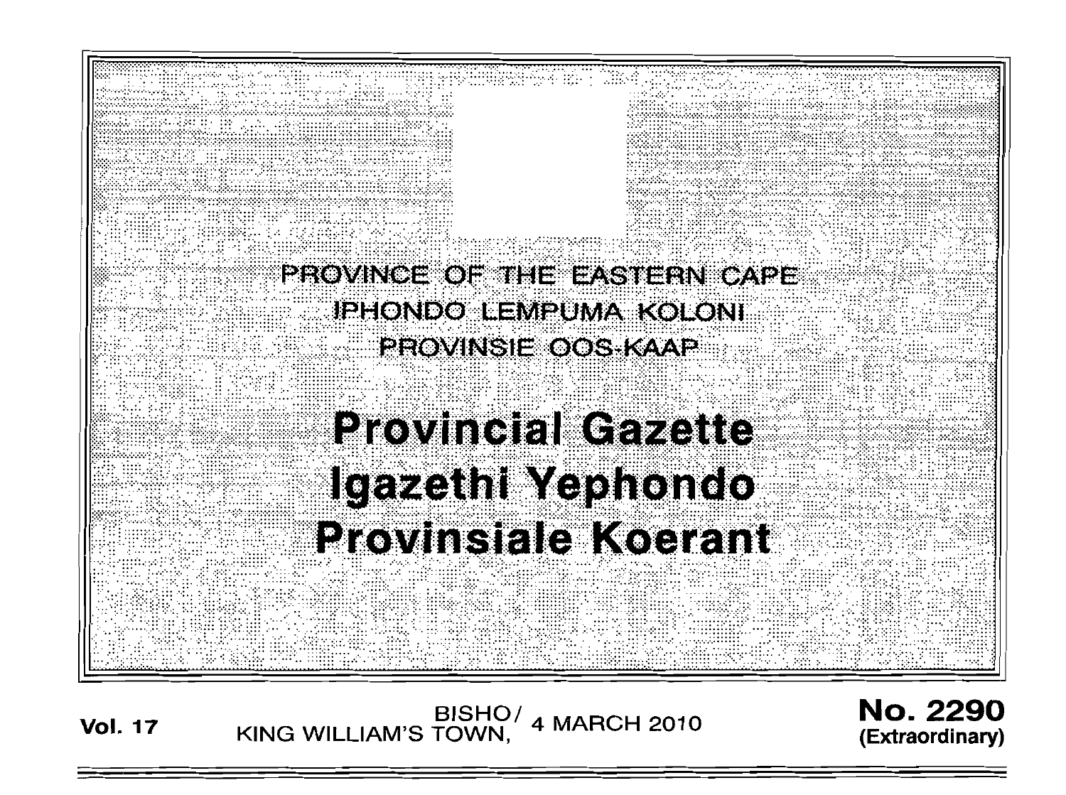

**Vol. 17** BISHO/ KING WILLIAM'S TOWN, 4 MARCH 2010

No. 2290 **(Extraordinary)**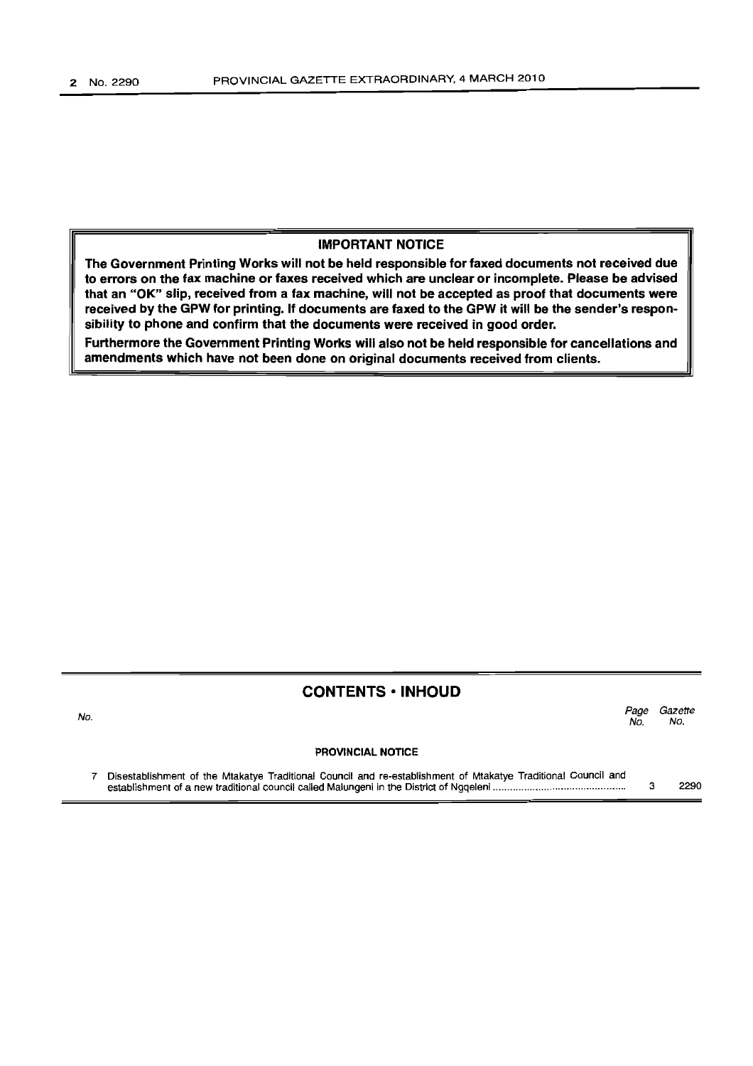## **IMPORTANT NOTICE**

**The Government Printing Works will not be held responsible for faxed documents not received due to errors on the fax machine or faxes received which are unclear or incomplete. Please be advised that an "OK" slip, received from a fax machine, will not be accepted as proof that documents were**  received by the GPW for printing. If documents are faxed to the GPW it will be the sender's respon**sibility to phone and confirm that the documents were received in good order.** 

**Furthermore the Government Printing Works will also not be held responsible for cancellations and amendments which have not been done on original documents received from clients.** 

### **CONTENTS ·INHOUD**

No. *Page Gazette*  No. No.

#### **PROVINCIAL NOTICE**

7 Disestablishment of the Mtakatye Traditional Council and re-establishment of Mtakatye Traditional Council and establishment of a new traditional council called Malungeni in the District of Ngqeleni .............................................. . 3 2290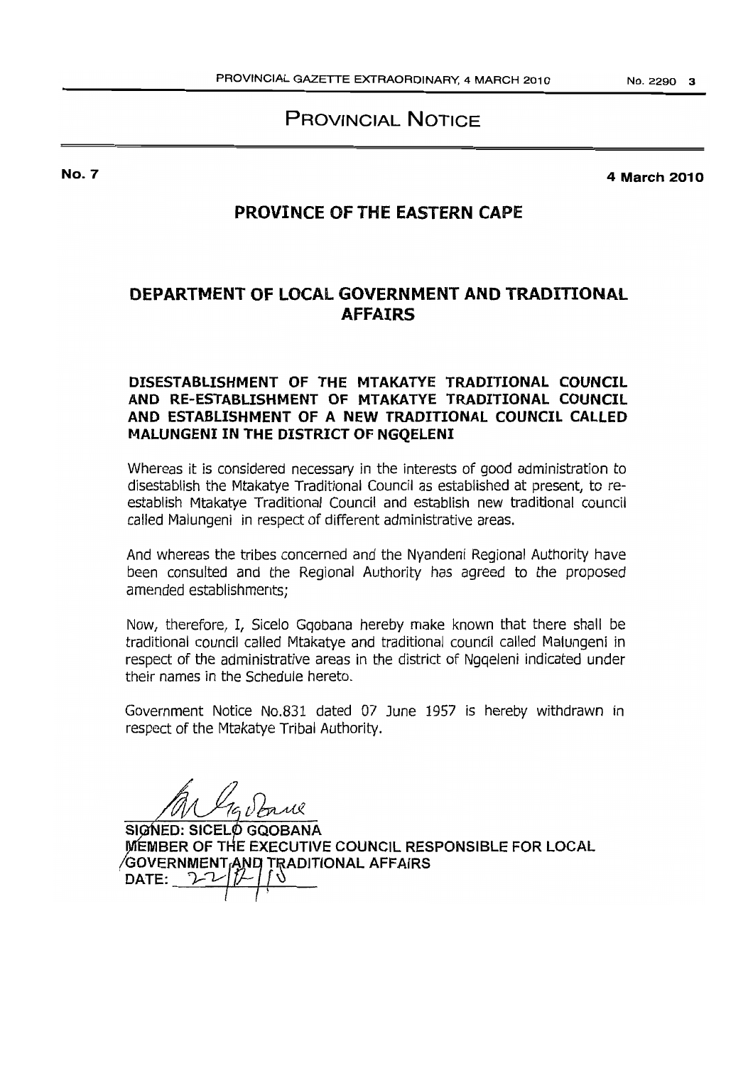**PROVINCIAL NOTICE** 

**No.7** 

**4 March 2010** 

# **PROVINCE OF THE EASTERN CAPE**

# **DEPARTMENT OF LOCAL GOVERNMENT AND TRADITIONAL AFFAIRS**

# **DISESTABLISHMENT OF THE MTAKATYE TRADITIONAL COUNCIL AND RE-ESTABLISHMENT OF MTAKATYE TRADITIONAL COUNCIL AND ESTABLISHMENT OF A NEW TRADITIONAL COUNCIL CALLED MAlUNGENI IN THE DISTRICT OF NGQELENI**

Whereas it is considered necessary in the interests of good administration to disestablish the Mtakatye Traditional Council as established at present, to reestablish Mtakatye Traditional Council and establish new traditional council called Malungeni in respect of different administrative areas.

And whereas the tribes concerned and the Nyandeni Regional Authority have been consulted and the Regional Authority has agreed to the proposed amended establishments:

Now, therefore, I, Sicelo Ggobana hereby make known that there shall be traditional council called Mtakatye and traditional council called Malungeni in respect of the administrative areas in the district of Ngqeleni indicated under their names in the Schedule hereto.

Government Notice No.S31 dated 07 June 1957 is hereby withdrawn in respect of the Mtakatye Tribal Authority.

SIGN<br>MEMI<br>GOVE **SIGNED: SICELO GQOBANA MEMBER OF THE EXECUTIVE COUNCIL RESPONSIBLE FOR LOCAL** GOVERNMENT AND TRADITIONAL AFFAIRS<br>DATE:  $22$   $7$   $7$ **DATE:**